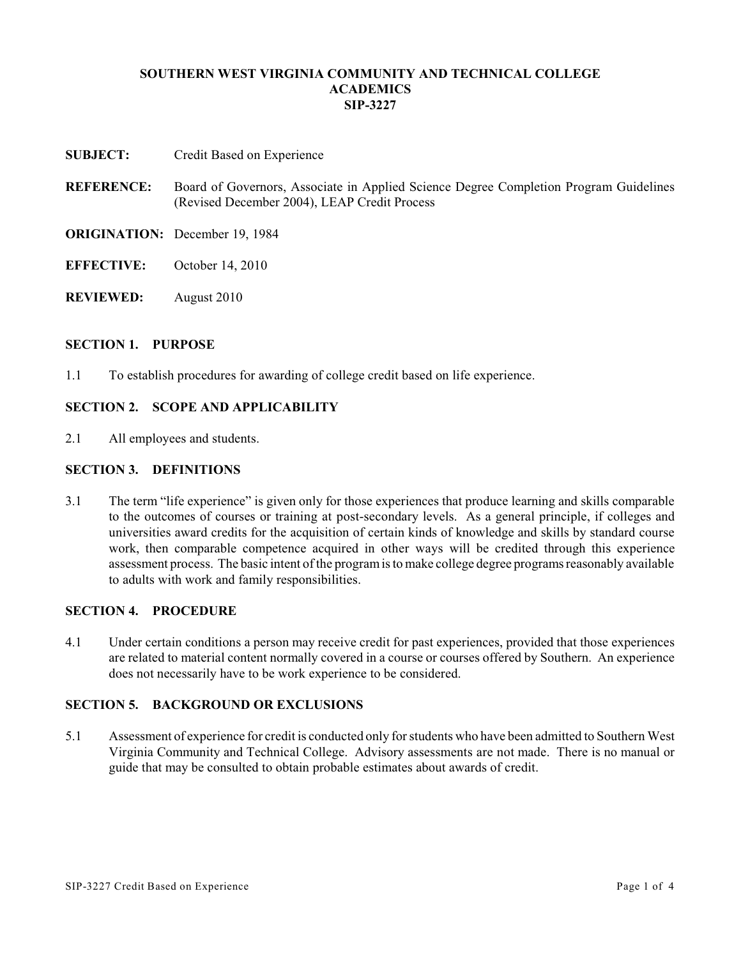### **SOUTHERN WEST VIRGINIA COMMUNITY AND TECHNICAL COLLEGE ACADEMICS SIP-3227**

- **SUBJECT:** Credit Based on Experience
- **REFERENCE:** Board of Governors, Associate in Applied Science Degree Completion Program Guidelines (Revised December 2004), LEAP Credit Process
- **ORIGINATION:** December 19, 1984
- **EFFECTIVE:** October 14, 2010
- **REVIEWED:** August 2010

#### **SECTION 1. PURPOSE**

1.1 To establish procedures for awarding of college credit based on life experience.

# **SECTION 2. SCOPE AND APPLICABILITY**

2.1 All employees and students.

### **SECTION 3. DEFINITIONS**

3.1 The term "life experience" is given only for those experiences that produce learning and skills comparable to the outcomes of courses or training at post-secondary levels. As a general principle, if colleges and universities award credits for the acquisition of certain kinds of knowledge and skills by standard course work, then comparable competence acquired in other ways will be credited through this experience assessment process. The basic intent of the programisto make college degree programs reasonably available to adults with work and family responsibilities.

#### **SECTION 4. PROCEDURE**

4.1 Under certain conditions a person may receive credit for past experiences, provided that those experiences are related to material content normally covered in a course or courses offered by Southern. An experience does not necessarily have to be work experience to be considered.

### **SECTION 5. BACKGROUND OR EXCLUSIONS**

5.1 Assessment of experience for credit is conducted only forstudents who have been admitted to Southern West Virginia Community and Technical College. Advisory assessments are not made. There is no manual or guide that may be consulted to obtain probable estimates about awards of credit.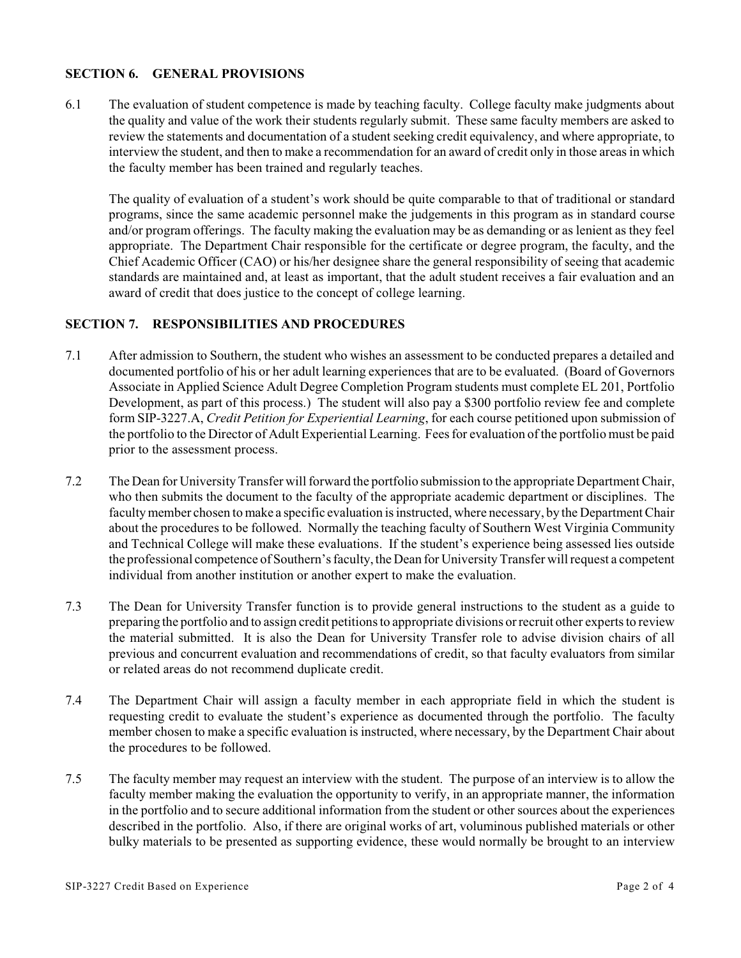# **SECTION 6. GENERAL PROVISIONS**

6.1 The evaluation of student competence is made by teaching faculty. College faculty make judgments about the quality and value of the work their students regularly submit. These same faculty members are asked to review the statements and documentation of a student seeking credit equivalency, and where appropriate, to interview the student, and then to make a recommendation for an award of credit only in those areas in which the faculty member has been trained and regularly teaches.

The quality of evaluation of a student's work should be quite comparable to that of traditional or standard programs, since the same academic personnel make the judgements in this program as in standard course and/or program offerings. The faculty making the evaluation may be as demanding or as lenient as they feel appropriate. The Department Chair responsible for the certificate or degree program, the faculty, and the Chief Academic Officer (CAO) or his/her designee share the general responsibility of seeing that academic standards are maintained and, at least as important, that the adult student receives a fair evaluation and an award of credit that does justice to the concept of college learning.

# **SECTION 7. RESPONSIBILITIES AND PROCEDURES**

- 7.1 After admission to Southern, the student who wishes an assessment to be conducted prepares a detailed and documented portfolio of his or her adult learning experiences that are to be evaluated. (Board of Governors Associate in Applied Science Adult Degree Completion Program students must complete EL 201, Portfolio Development, as part of this process.) The student will also pay a \$300 portfolio review fee and complete form SIP-3227.A, *Credit Petition for Experiential Learning*, for each course petitioned upon submission of the portfolio to the Director of Adult Experiential Learning. Fees for evaluation of the portfolio must be paid prior to the assessment process.
- 7.2 The Dean for University Transfer will forward the portfolio submission to the appropriate Department Chair, who then submits the document to the faculty of the appropriate academic department or disciplines. The faculty member chosen to make a specific evaluation is instructed, where necessary, by the Department Chair about the procedures to be followed. Normally the teaching faculty of Southern West Virginia Community and Technical College will make these evaluations. If the student's experience being assessed lies outside the professional competence of Southern'sfaculty, the Dean for University Transfer will request a competent individual from another institution or another expert to make the evaluation.
- 7.3 The Dean for University Transfer function is to provide general instructions to the student as a guide to preparing the portfolio and to assign credit petitions to appropriate divisions or recruit other experts to review the material submitted. It is also the Dean for University Transfer role to advise division chairs of all previous and concurrent evaluation and recommendations of credit, so that faculty evaluators from similar or related areas do not recommend duplicate credit.
- 7.4 The Department Chair will assign a faculty member in each appropriate field in which the student is requesting credit to evaluate the student's experience as documented through the portfolio. The faculty member chosen to make a specific evaluation is instructed, where necessary, by the Department Chair about the procedures to be followed.
- 7.5 The faculty member may request an interview with the student. The purpose of an interview is to allow the faculty member making the evaluation the opportunity to verify, in an appropriate manner, the information in the portfolio and to secure additional information from the student or other sources about the experiences described in the portfolio. Also, if there are original works of art, voluminous published materials or other bulky materials to be presented as supporting evidence, these would normally be brought to an interview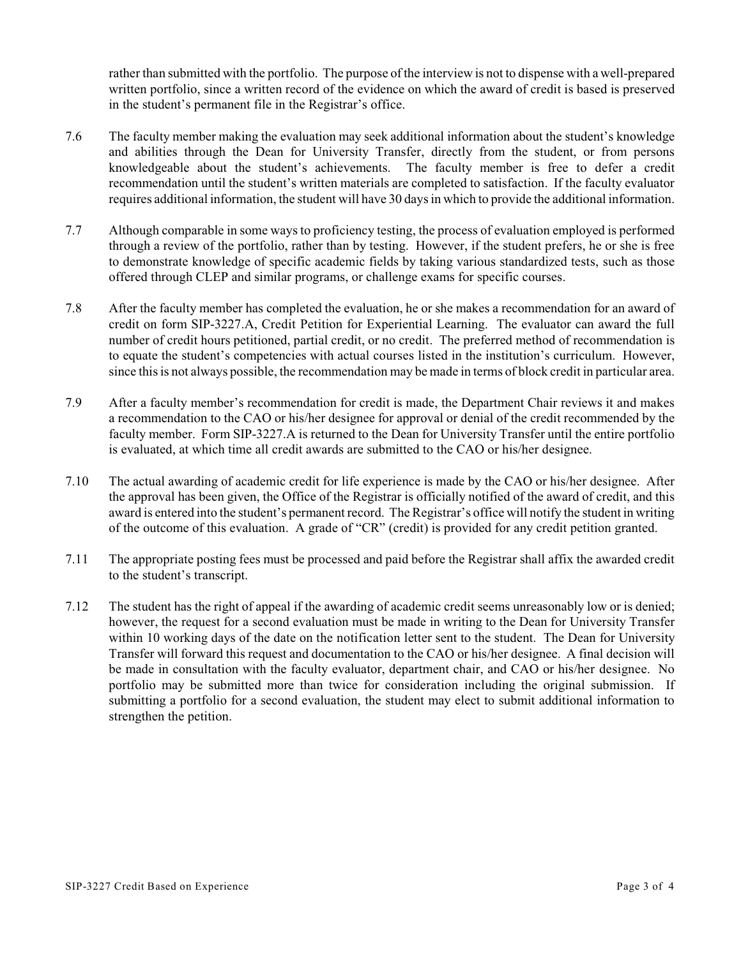rather than submitted with the portfolio. The purpose of the interview is not to dispense with a well-prepared written portfolio, since a written record of the evidence on which the award of credit is based is preserved in the student's permanent file in the Registrar's office.

- 7.6 The faculty member making the evaluation may seek additional information about the student's knowledge and abilities through the Dean for University Transfer, directly from the student, or from persons knowledgeable about the student's achievements. The faculty member is free to defer a credit recommendation until the student's written materials are completed to satisfaction. If the faculty evaluator requires additional information, the student will have 30 days in which to provide the additional information.
- 7.7 Although comparable in some ways to proficiency testing, the process of evaluation employed is performed through a review of the portfolio, rather than by testing. However, if the student prefers, he or she is free to demonstrate knowledge of specific academic fields by taking various standardized tests, such as those offered through CLEP and similar programs, or challenge exams for specific courses.
- 7.8 After the faculty member has completed the evaluation, he or she makes a recommendation for an award of credit on form SIP-3227.A, Credit Petition for Experiential Learning. The evaluator can award the full number of credit hours petitioned, partial credit, or no credit. The preferred method of recommendation is to equate the student's competencies with actual courses listed in the institution's curriculum. However, since this is not always possible, the recommendation may be made in terms of block credit in particular area.
- 7.9 After a faculty member's recommendation for credit is made, the Department Chair reviews it and makes a recommendation to the CAO or his/her designee for approval or denial of the credit recommended by the faculty member. Form SIP-3227.A is returned to the Dean for University Transfer until the entire portfolio is evaluated, at which time all credit awards are submitted to the CAO or his/her designee.
- 7.10 The actual awarding of academic credit for life experience is made by the CAO or his/her designee. After the approval has been given, the Office of the Registrar is officially notified of the award of credit, and this award is entered into the student's permanent record. The Registrar's office will notify the student in writing of the outcome of this evaluation. A grade of "CR" (credit) is provided for any credit petition granted.
- 7.11 The appropriate posting fees must be processed and paid before the Registrar shall affix the awarded credit to the student's transcript.
- 7.12 The student has the right of appeal if the awarding of academic credit seems unreasonably low or is denied; however, the request for a second evaluation must be made in writing to the Dean for University Transfer within 10 working days of the date on the notification letter sent to the student. The Dean for University Transfer will forward this request and documentation to the CAO or his/her designee. A final decision will be made in consultation with the faculty evaluator, department chair, and CAO or his/her designee. No portfolio may be submitted more than twice for consideration including the original submission. If submitting a portfolio for a second evaluation, the student may elect to submit additional information to strengthen the petition.